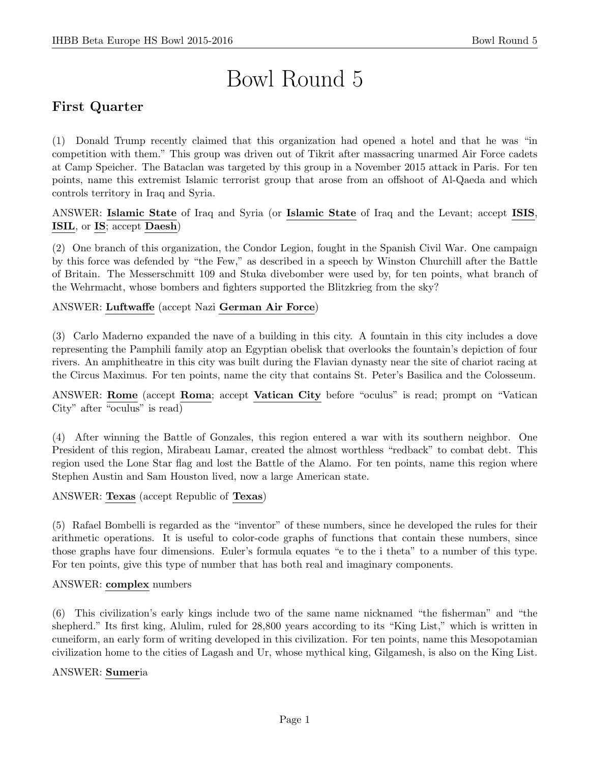# Bowl Round 5

# First Quarter

(1) Donald Trump recently claimed that this organization had opened a hotel and that he was "in competition with them." This group was driven out of Tikrit after massacring unarmed Air Force cadets at Camp Speicher. The Bataclan was targeted by this group in a November 2015 attack in Paris. For ten points, name this extremist Islamic terrorist group that arose from an offshoot of Al-Qaeda and which controls territory in Iraq and Syria.

ANSWER: Islamic State of Iraq and Syria (or Islamic State of Iraq and the Levant; accept ISIS, ISIL, or IS; accept Daesh)

(2) One branch of this organization, the Condor Legion, fought in the Spanish Civil War. One campaign by this force was defended by "the Few," as described in a speech by Winston Churchill after the Battle of Britain. The Messerschmitt 109 and Stuka divebomber were used by, for ten points, what branch of the Wehrmacht, whose bombers and fighters supported the Blitzkrieg from the sky?

#### ANSWER: Luftwaffe (accept Nazi German Air Force)

(3) Carlo Maderno expanded the nave of a building in this city. A fountain in this city includes a dove representing the Pamphili family atop an Egyptian obelisk that overlooks the fountain's depiction of four rivers. An amphitheatre in this city was built during the Flavian dynasty near the site of chariot racing at the Circus Maximus. For ten points, name the city that contains St. Peter's Basilica and the Colosseum.

ANSWER: Rome (accept Roma; accept Vatican City before "oculus" is read; prompt on "Vatican City" after "oculus" is read)

(4) After winning the Battle of Gonzales, this region entered a war with its southern neighbor. One President of this region, Mirabeau Lamar, created the almost worthless "redback" to combat debt. This region used the Lone Star flag and lost the Battle of the Alamo. For ten points, name this region where Stephen Austin and Sam Houston lived, now a large American state.

ANSWER: Texas (accept Republic of Texas)

(5) Rafael Bombelli is regarded as the "inventor" of these numbers, since he developed the rules for their arithmetic operations. It is useful to color-code graphs of functions that contain these numbers, since those graphs have four dimensions. Euler's formula equates "e to the i theta" to a number of this type. For ten points, give this type of number that has both real and imaginary components.

#### ANSWER: complex numbers

(6) This civilization's early kings include two of the same name nicknamed "the fisherman" and "the shepherd." Its first king, Alulim, ruled for 28,800 years according to its "King List," which is written in cuneiform, an early form of writing developed in this civilization. For ten points, name this Mesopotamian civilization home to the cities of Lagash and Ur, whose mythical king, Gilgamesh, is also on the King List.

#### ANSWER: Sumeria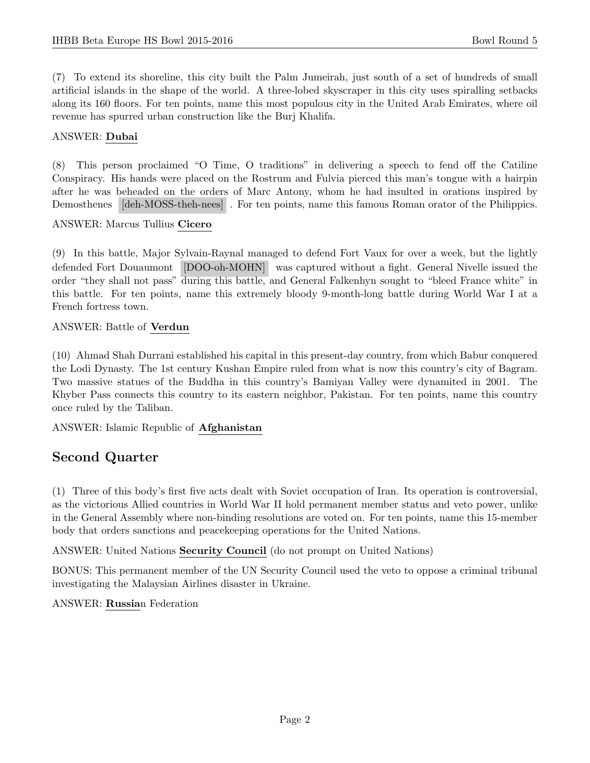(7) To extend its shoreline, this city built the Palm Jumeirah, just south of a set of hundreds of small artificial islands in the shape of the world. A three-lobed skyscraper in this city uses spiralling setbacks along its 160 floors. For ten points, name this most populous city in the United Arab Emirates, where oil revenue has spurred urban construction like the Burj Khalifa.

## ANSWER: Dubai

(8) This person proclaimed "O Time, O traditions" in delivering a speech to fend off the Catiline Conspiracy. His hands were placed on the Rostrum and Fulvia pierced this man's tongue with a hairpin after he was beheaded on the orders of Marc Antony, whom he had insulted in orations inspired by Demosthenes [deh-MOSS-theh-nees] . For ten points, name this famous Roman orator of the Philippics.

#### ANSWER: Marcus Tullius Cicero

(9) In this battle, Major Sylvain-Raynal managed to defend Fort Vaux for over a week, but the lightly defended Fort Douaumont [DOO-oh-MOHN] was captured without a fight. General Nivelle issued the order "they shall not pass" during this battle, and General Falkenhyn sought to "bleed France white" in this battle. For ten points, name this extremely bloody 9-month-long battle during World War I at a French fortress town.

# ANSWER: Battle of Verdun

(10) Ahmad Shah Durrani established his capital in this present-day country, from which Babur conquered the Lodi Dynasty. The 1st century Kushan Empire ruled from what is now this country's city of Bagram. Two massive statues of the Buddha in this country's Bamiyan Valley were dynamited in 2001. The Khyber Pass connects this country to its eastern neighbor, Pakistan. For ten points, name this country once ruled by the Taliban.

# ANSWER: Islamic Republic of Afghanistan

# Second Quarter

(1) Three of this body's first five acts dealt with Soviet occupation of Iran. Its operation is controversial, as the victorious Allied countries in World War II hold permanent member status and veto power, unlike in the General Assembly where non-binding resolutions are voted on. For ten points, name this 15-member body that orders sanctions and peacekeeping operations for the United Nations.

ANSWER: United Nations Security Council (do not prompt on United Nations)

BONUS: This permanent member of the UN Security Council used the veto to oppose a criminal tribunal investigating the Malaysian Airlines disaster in Ukraine.

# ANSWER: Russian Federation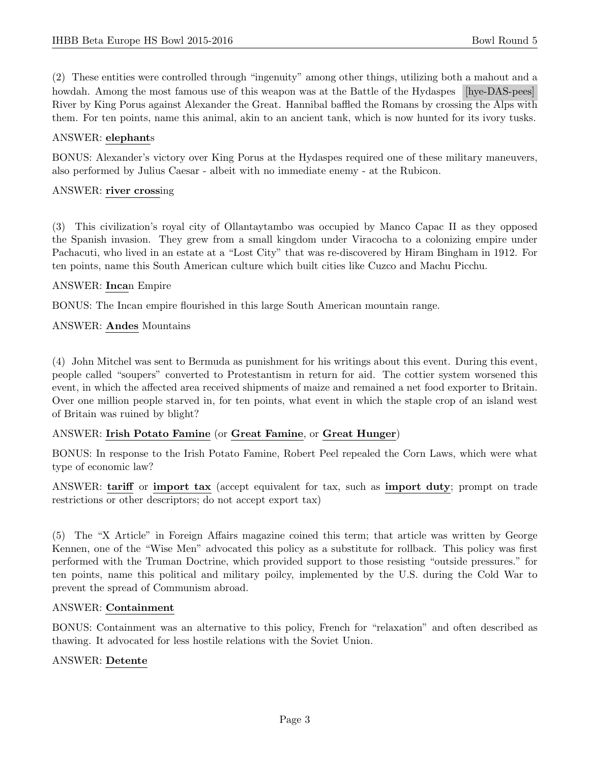(2) These entities were controlled through "ingenuity" among other things, utilizing both a mahout and a howdah. Among the most famous use of this weapon was at the Battle of the Hydaspes [hye-DAS-pees] River by King Porus against Alexander the Great. Hannibal baffled the Romans by crossing the Alps with them. For ten points, name this animal, akin to an ancient tank, which is now hunted for its ivory tusks.

## ANSWER: elephants

BONUS: Alexander's victory over King Porus at the Hydaspes required one of these military maneuvers, also performed by Julius Caesar - albeit with no immediate enemy - at the Rubicon.

## ANSWER: river crossing

(3) This civilization's royal city of Ollantaytambo was occupied by Manco Capac II as they opposed the Spanish invasion. They grew from a small kingdom under Viracocha to a colonizing empire under Pachacuti, who lived in an estate at a "Lost City" that was re-discovered by Hiram Bingham in 1912. For ten points, name this South American culture which built cities like Cuzco and Machu Picchu.

# ANSWER: Incan Empire

BONUS: The Incan empire flourished in this large South American mountain range.

ANSWER: Andes Mountains

(4) John Mitchel was sent to Bermuda as punishment for his writings about this event. During this event, people called "soupers" converted to Protestantism in return for aid. The cottier system worsened this event, in which the affected area received shipments of maize and remained a net food exporter to Britain. Over one million people starved in, for ten points, what event in which the staple crop of an island west of Britain was ruined by blight?

#### ANSWER: Irish Potato Famine (or Great Famine, or Great Hunger)

BONUS: In response to the Irish Potato Famine, Robert Peel repealed the Corn Laws, which were what type of economic law?

ANSWER: tariff or import tax (accept equivalent for tax, such as import duty; prompt on trade restrictions or other descriptors; do not accept export tax)

(5) The "X Article" in Foreign Affairs magazine coined this term; that article was written by George Kennen, one of the "Wise Men" advocated this policy as a substitute for rollback. This policy was first performed with the Truman Doctrine, which provided support to those resisting "outside pressures." for ten points, name this political and military poilcy, implemented by the U.S. during the Cold War to prevent the spread of Communism abroad.

#### ANSWER: Containment

BONUS: Containment was an alternative to this policy, French for "relaxation" and often described as thawing. It advocated for less hostile relations with the Soviet Union.

#### ANSWER: Detente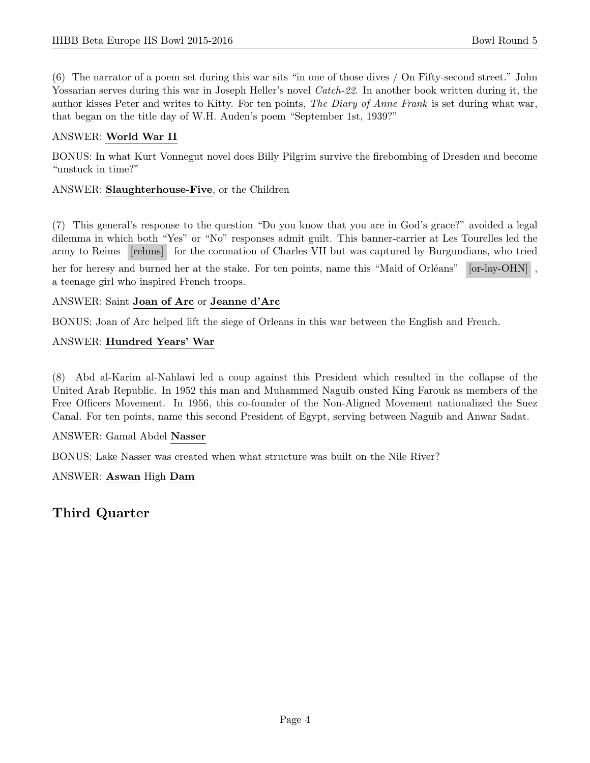(6) The narrator of a poem set during this war sits "in one of those dives / On Fifty-second street." John Yossarian serves during this war in Joseph Heller's novel Catch-22. In another book written during it, the author kisses Peter and writes to Kitty. For ten points, The Diary of Anne Frank is set during what war, that began on the title day of W.H. Auden's poem "September 1st, 1939?"

# ANSWER: World War II

BONUS: In what Kurt Vonnegut novel does Billy Pilgrim survive the firebombing of Dresden and become "unstuck in time?"

## ANSWER: Slaughterhouse-Five, or the Children

(7) This general's response to the question "Do you know that you are in God's grace?" avoided a legal dilemma in which both "Yes" or "No" responses admit guilt. This banner-carrier at Les Tourelles led the army to Reims [rehms] for the coronation of Charles VII but was captured by Burgundians, who tried

her for heresy and burned her at the stake. For ten points, name this "Maid of Orléans" [or-lay-OHN], a teenage girl who inspired French troops.

# ANSWER: Saint Joan of Arc or Jeanne d'Arc

BONUS: Joan of Arc helped lift the siege of Orleans in this war between the English and French.

# ANSWER: Hundred Years' War

(8) Abd al-Karim al-Nahlawi led a coup against this President which resulted in the collapse of the United Arab Republic. In 1952 this man and Muhammed Naguib ousted King Farouk as members of the Free Officers Movement. In 1956, this co-founder of the Non-Aligned Movement nationalized the Suez Canal. For ten points, name this second President of Egypt, serving between Naguib and Anwar Sadat.

#### ANSWER: Gamal Abdel Nasser

BONUS: Lake Nasser was created when what structure was built on the Nile River?

ANSWER: Aswan High Dam

Third Quarter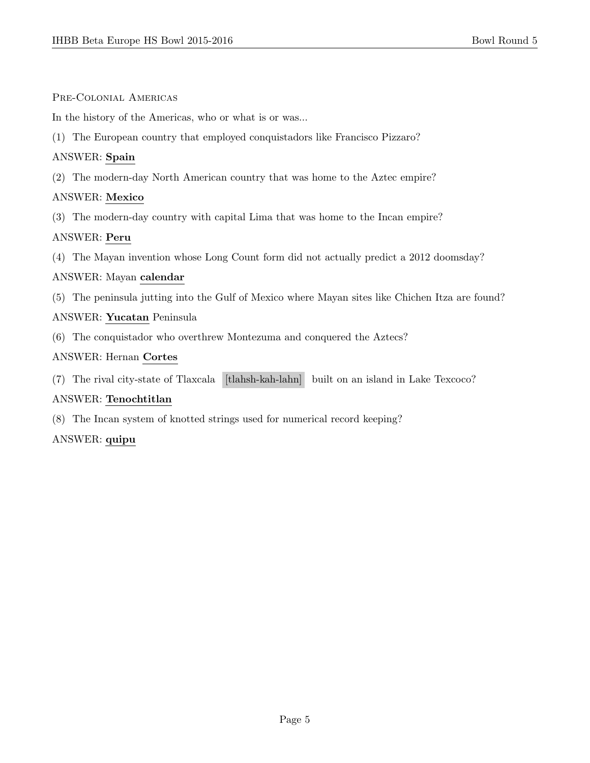#### Pre-Colonial Americas

In the history of the Americas, who or what is or was...

(1) The European country that employed conquistadors like Francisco Pizzaro?

#### ANSWER: Spain

(2) The modern-day North American country that was home to the Aztec empire?

#### ANSWER: Mexico

(3) The modern-day country with capital Lima that was home to the Incan empire?

#### ANSWER: Peru

(4) The Mayan invention whose Long Count form did not actually predict a 2012 doomsday?

#### ANSWER: Mayan calendar

(5) The peninsula jutting into the Gulf of Mexico where Mayan sites like Chichen Itza are found?

#### ANSWER: Yucatan Peninsula

(6) The conquistador who overthrew Montezuma and conquered the Aztecs?

#### ANSWER: Hernan Cortes

(7) The rival city-state of Tlaxcala [tlahsh-kah-lahn] built on an island in Lake Texcoco?

#### ANSWER: Tenochtitlan

(8) The Incan system of knotted strings used for numerical record keeping?

#### ANSWER: quipu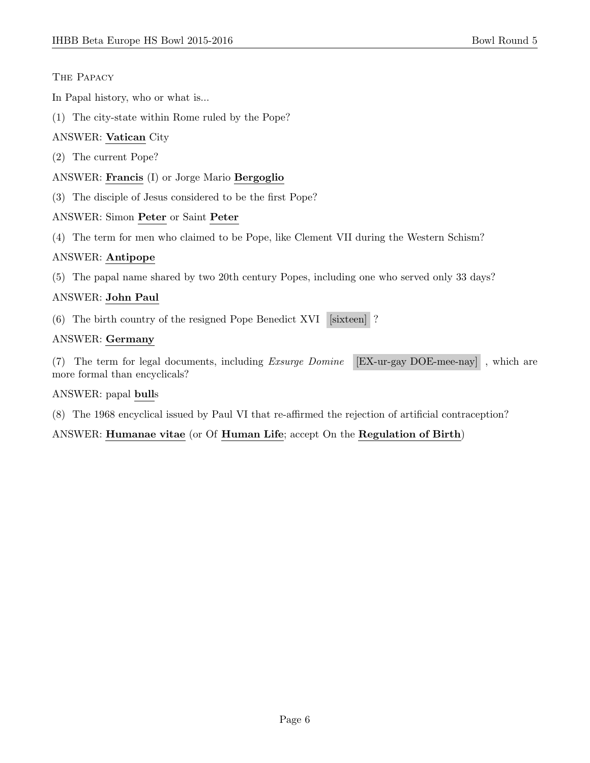## The Papacy

In Papal history, who or what is...

(1) The city-state within Rome ruled by the Pope?

# ANSWER: Vatican City

- (2) The current Pope?
- ANSWER: Francis (I) or Jorge Mario Bergoglio
- (3) The disciple of Jesus considered to be the first Pope?

# ANSWER: Simon Peter or Saint Peter

(4) The term for men who claimed to be Pope, like Clement VII during the Western Schism?

# ANSWER: Antipope

(5) The papal name shared by two 20th century Popes, including one who served only 33 days?

# ANSWER: John Paul

(6) The birth country of the resigned Pope Benedict XVI [sixteen] ?

#### ANSWER: Germany

(7) The term for legal documents, including Exsurge Domine [EX-ur-gay DOE-mee-nay] , which are more formal than encyclicals?

#### ANSWER: papal bulls

(8) The 1968 encyclical issued by Paul VI that re-affirmed the rejection of artificial contraception?

# ANSWER: Humanae vitae (or Of Human Life; accept On the Regulation of Birth)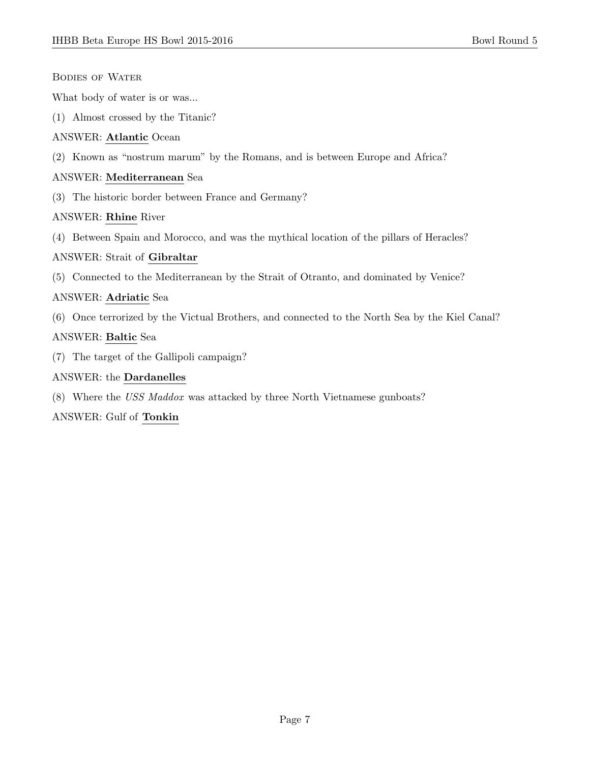|  | <b>BODIES OF WATER</b> |
|--|------------------------|
|  |                        |

What body of water is or was...

(1) Almost crossed by the Titanic?

#### ANSWER: Atlantic Ocean

(2) Known as "nostrum marum" by the Romans, and is between Europe and Africa?

#### ANSWER: Mediterranean Sea

(3) The historic border between France and Germany?

#### ANSWER: Rhine River

(4) Between Spain and Morocco, and was the mythical location of the pillars of Heracles?

#### ANSWER: Strait of Gibraltar

(5) Connected to the Mediterranean by the Strait of Otranto, and dominated by Venice?

#### ANSWER: Adriatic Sea

(6) Once terrorized by the Victual Brothers, and connected to the North Sea by the Kiel Canal?

#### ANSWER: Baltic Sea

(7) The target of the Gallipoli campaign?

#### ANSWER: the Dardanelles

(8) Where the USS Maddox was attacked by three North Vietnamese gunboats?

#### ANSWER: Gulf of Tonkin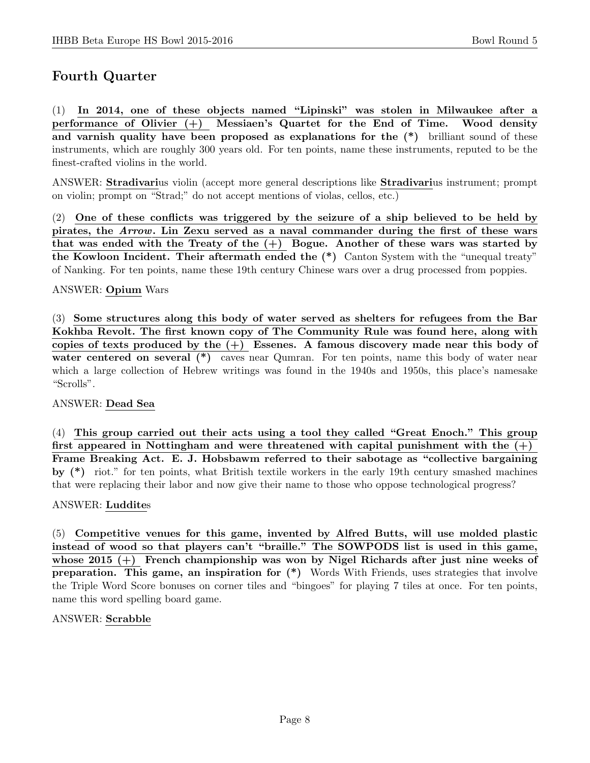# Fourth Quarter

(1) In 2014, one of these objects named "Lipinski" was stolen in Milwaukee after a performance of Olivier (+) Messiaen's Quartet for the End of Time. Wood density and varnish quality have been proposed as explanations for the (\*) brilliant sound of these instruments, which are roughly 300 years old. For ten points, name these instruments, reputed to be the finest-crafted violins in the world.

ANSWER: Stradivarius violin (accept more general descriptions like Stradivarius instrument; prompt on violin; prompt on "Strad;" do not accept mentions of violas, cellos, etc.)

(2) One of these conflicts was triggered by the seizure of a ship believed to be held by pirates, the Arrow. Lin Zexu served as a naval commander during the first of these wars that was ended with the Treaty of the  $(+)$  Bogue. Another of these wars was started by the Kowloon Incident. Their aftermath ended the (\*) Canton System with the "unequal treaty" of Nanking. For ten points, name these 19th century Chinese wars over a drug processed from poppies.

#### ANSWER: Opium Wars

(3) Some structures along this body of water served as shelters for refugees from the Bar Kokhba Revolt. The first known copy of The Community Rule was found here, along with copies of texts produced by the  $(+)$  Essenes. A famous discovery made near this body of water centered on several (\*) caves near Qumran. For ten points, name this body of water near which a large collection of Hebrew writings was found in the 1940s and 1950s, this place's namesake "Scrolls".

#### ANSWER: Dead Sea

(4) This group carried out their acts using a tool they called "Great Enoch." This group first appeared in Nottingham and were threatened with capital punishment with the  $(+)$ Frame Breaking Act. E. J. Hobsbawm referred to their sabotage as "collective bargaining by (\*) riot." for ten points, what British textile workers in the early 19th century smashed machines that were replacing their labor and now give their name to those who oppose technological progress?

#### ANSWER: Luddites

(5) Competitive venues for this game, invented by Alfred Butts, will use molded plastic instead of wood so that players can't "braille." The SOWPODS list is used in this game, whose 2015  $(+)$  French championship was won by Nigel Richards after just nine weeks of preparation. This game, an inspiration for (\*) Words With Friends, uses strategies that involve the Triple Word Score bonuses on corner tiles and "bingoes" for playing 7 tiles at once. For ten points, name this word spelling board game.

#### ANSWER: Scrabble